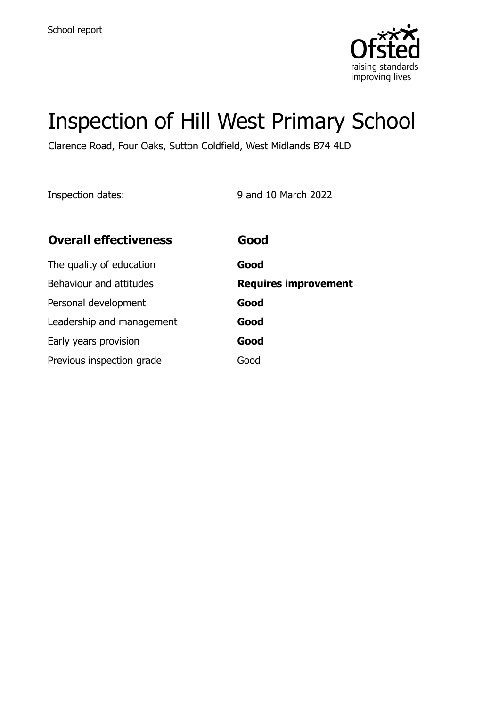

# Inspection of Hill West Primary School

Clarence Road, Four Oaks, Sutton Coldfield, West Midlands B74 4LD

Inspection dates: 9 and 10 March 2022

| <b>Overall effectiveness</b> | Good                        |
|------------------------------|-----------------------------|
| The quality of education     | Good                        |
| Behaviour and attitudes      | <b>Requires improvement</b> |
| Personal development         | Good                        |
| Leadership and management    | Good                        |
| Early years provision        | Good                        |
| Previous inspection grade    | Good                        |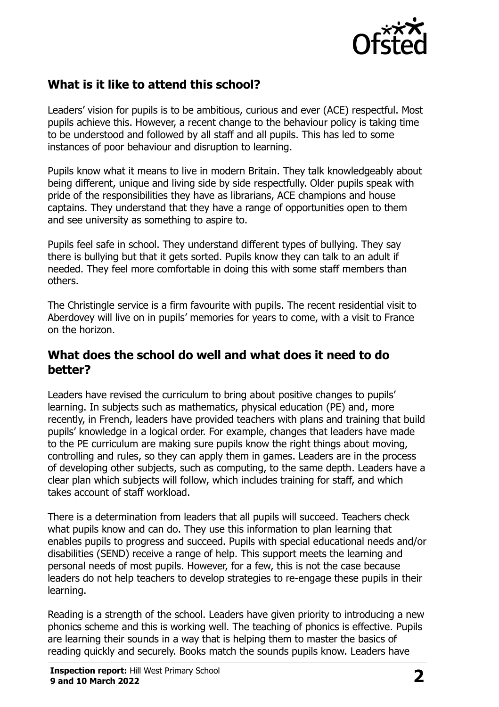

# **What is it like to attend this school?**

Leaders' vision for pupils is to be ambitious, curious and ever (ACE) respectful. Most pupils achieve this. However, a recent change to the behaviour policy is taking time to be understood and followed by all staff and all pupils. This has led to some instances of poor behaviour and disruption to learning.

Pupils know what it means to live in modern Britain. They talk knowledgeably about being different, unique and living side by side respectfully. Older pupils speak with pride of the responsibilities they have as librarians, ACE champions and house captains. They understand that they have a range of opportunities open to them and see university as something to aspire to.

Pupils feel safe in school. They understand different types of bullying. They say there is bullying but that it gets sorted. Pupils know they can talk to an adult if needed. They feel more comfortable in doing this with some staff members than others.

The Christingle service is a firm favourite with pupils. The recent residential visit to Aberdovey will live on in pupils' memories for years to come, with a visit to France on the horizon.

#### **What does the school do well and what does it need to do better?**

Leaders have revised the curriculum to bring about positive changes to pupils' learning. In subjects such as mathematics, physical education (PE) and, more recently, in French, leaders have provided teachers with plans and training that build pupils' knowledge in a logical order. For example, changes that leaders have made to the PE curriculum are making sure pupils know the right things about moving, controlling and rules, so they can apply them in games. Leaders are in the process of developing other subjects, such as computing, to the same depth. Leaders have a clear plan which subjects will follow, which includes training for staff, and which takes account of staff workload.

There is a determination from leaders that all pupils will succeed. Teachers check what pupils know and can do. They use this information to plan learning that enables pupils to progress and succeed. Pupils with special educational needs and/or disabilities (SEND) receive a range of help. This support meets the learning and personal needs of most pupils. However, for a few, this is not the case because leaders do not help teachers to develop strategies to re-engage these pupils in their learning.

Reading is a strength of the school. Leaders have given priority to introducing a new phonics scheme and this is working well. The teaching of phonics is effective. Pupils are learning their sounds in a way that is helping them to master the basics of reading quickly and securely. Books match the sounds pupils know. Leaders have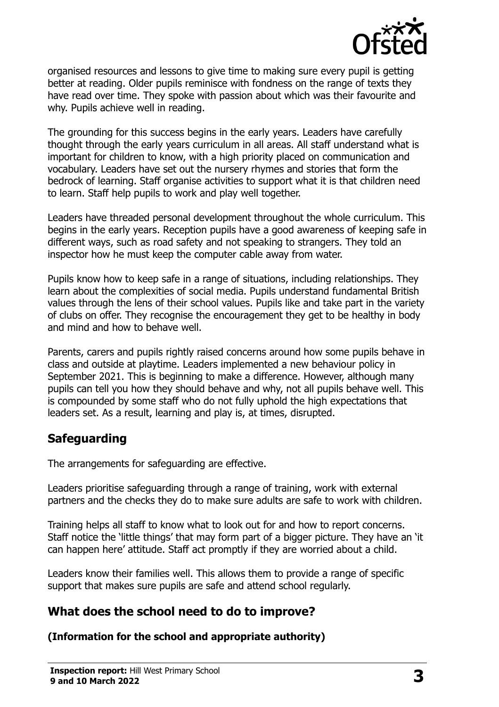

organised resources and lessons to give time to making sure every pupil is getting better at reading. Older pupils reminisce with fondness on the range of texts they have read over time. They spoke with passion about which was their favourite and why. Pupils achieve well in reading.

The grounding for this success begins in the early years. Leaders have carefully thought through the early years curriculum in all areas. All staff understand what is important for children to know, with a high priority placed on communication and vocabulary. Leaders have set out the nursery rhymes and stories that form the bedrock of learning. Staff organise activities to support what it is that children need to learn. Staff help pupils to work and play well together.

Leaders have threaded personal development throughout the whole curriculum. This begins in the early years. Reception pupils have a good awareness of keeping safe in different ways, such as road safety and not speaking to strangers. They told an inspector how he must keep the computer cable away from water.

Pupils know how to keep safe in a range of situations, including relationships. They learn about the complexities of social media. Pupils understand fundamental British values through the lens of their school values. Pupils like and take part in the variety of clubs on offer. They recognise the encouragement they get to be healthy in body and mind and how to behave well.

Parents, carers and pupils rightly raised concerns around how some pupils behave in class and outside at playtime. Leaders implemented a new behaviour policy in September 2021. This is beginning to make a difference. However, although many pupils can tell you how they should behave and why, not all pupils behave well. This is compounded by some staff who do not fully uphold the high expectations that leaders set. As a result, learning and play is, at times, disrupted.

# **Safeguarding**

The arrangements for safeguarding are effective.

Leaders prioritise safeguarding through a range of training, work with external partners and the checks they do to make sure adults are safe to work with children.

Training helps all staff to know what to look out for and how to report concerns. Staff notice the 'little things' that may form part of a bigger picture. They have an 'it can happen here' attitude. Staff act promptly if they are worried about a child.

Leaders know their families well. This allows them to provide a range of specific support that makes sure pupils are safe and attend school regularly.

# **What does the school need to do to improve?**

**(Information for the school and appropriate authority)**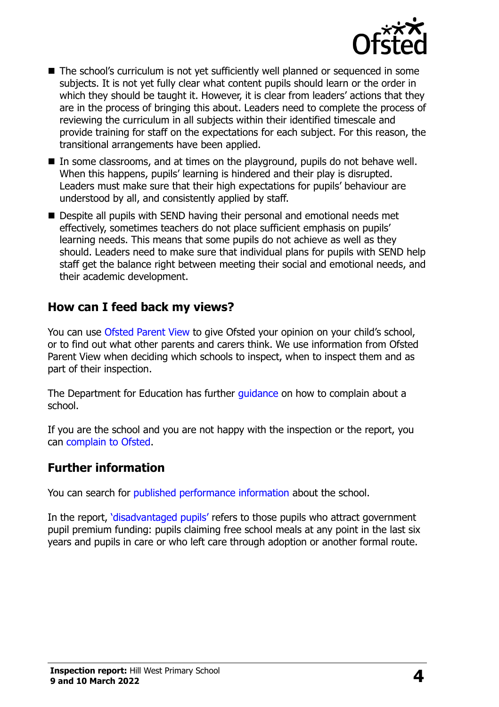

- The school's curriculum is not yet sufficiently well planned or sequenced in some subjects. It is not yet fully clear what content pupils should learn or the order in which they should be taught it. However, it is clear from leaders' actions that they are in the process of bringing this about. Leaders need to complete the process of reviewing the curriculum in all subjects within their identified timescale and provide training for staff on the expectations for each subject. For this reason, the transitional arrangements have been applied.
- In some classrooms, and at times on the playground, pupils do not behave well. When this happens, pupils' learning is hindered and their play is disrupted. Leaders must make sure that their high expectations for pupils' behaviour are understood by all, and consistently applied by staff.
- Despite all pupils with SEND having their personal and emotional needs met effectively, sometimes teachers do not place sufficient emphasis on pupils' learning needs. This means that some pupils do not achieve as well as they should. Leaders need to make sure that individual plans for pupils with SEND help staff get the balance right between meeting their social and emotional needs, and their academic development.

#### **How can I feed back my views?**

You can use [Ofsted Parent View](http://parentview.ofsted.gov.uk/) to give Ofsted your opinion on your child's school, or to find out what other parents and carers think. We use information from Ofsted Parent View when deciding which schools to inspect, when to inspect them and as part of their inspection.

The Department for Education has further *quidance* on how to complain about a school.

If you are the school and you are not happy with the inspection or the report, you can [complain to Ofsted.](http://www.gov.uk/complain-ofsted-report)

### **Further information**

You can search for [published performance information](http://www.compare-school-performance.service.gov.uk/) about the school.

In the report, '[disadvantaged pupils](http://www.gov.uk/guidance/pupil-premium-information-for-schools-and-alternative-provision-settings)' refers to those pupils who attract government pupil premium funding: pupils claiming free school meals at any point in the last six years and pupils in care or who left care through adoption or another formal route.

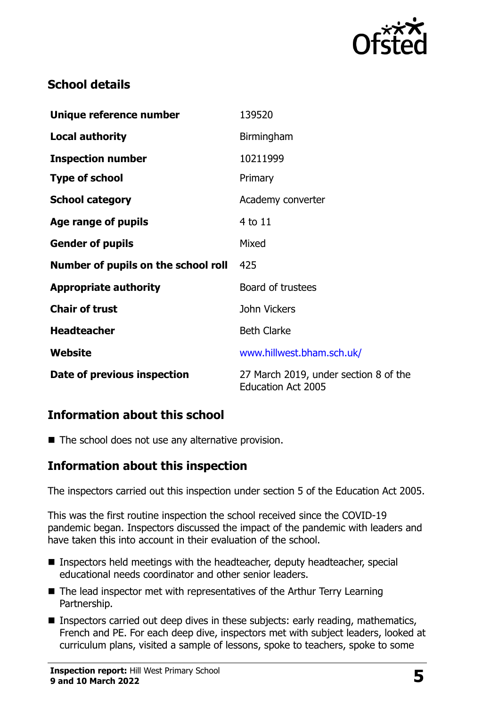

# **School details**

| Unique reference number             | 139520                                                             |  |
|-------------------------------------|--------------------------------------------------------------------|--|
| <b>Local authority</b>              | Birmingham                                                         |  |
| <b>Inspection number</b>            | 10211999                                                           |  |
| <b>Type of school</b>               | Primary                                                            |  |
| <b>School category</b>              | Academy converter                                                  |  |
| Age range of pupils                 | 4 to 11                                                            |  |
| <b>Gender of pupils</b>             | Mixed                                                              |  |
| Number of pupils on the school roll | 425                                                                |  |
| <b>Appropriate authority</b>        | Board of trustees                                                  |  |
| <b>Chair of trust</b>               | John Vickers                                                       |  |
| <b>Headteacher</b>                  | <b>Beth Clarke</b>                                                 |  |
| Website                             | www.hillwest.bham.sch.uk/                                          |  |
| Date of previous inspection         | 27 March 2019, under section 8 of the<br><b>Education Act 2005</b> |  |

# **Information about this school**

 $\blacksquare$  The school does not use any alternative provision.

### **Information about this inspection**

The inspectors carried out this inspection under section 5 of the Education Act 2005.

This was the first routine inspection the school received since the COVID-19 pandemic began. Inspectors discussed the impact of the pandemic with leaders and have taken this into account in their evaluation of the school.

- Inspectors held meetings with the headteacher, deputy headteacher, special educational needs coordinator and other senior leaders.
- $\blacksquare$  The lead inspector met with representatives of the Arthur Terry Learning Partnership.
- **Inspectors carried out deep dives in these subjects: early reading, mathematics,** French and PE. For each deep dive, inspectors met with subject leaders, looked at curriculum plans, visited a sample of lessons, spoke to teachers, spoke to some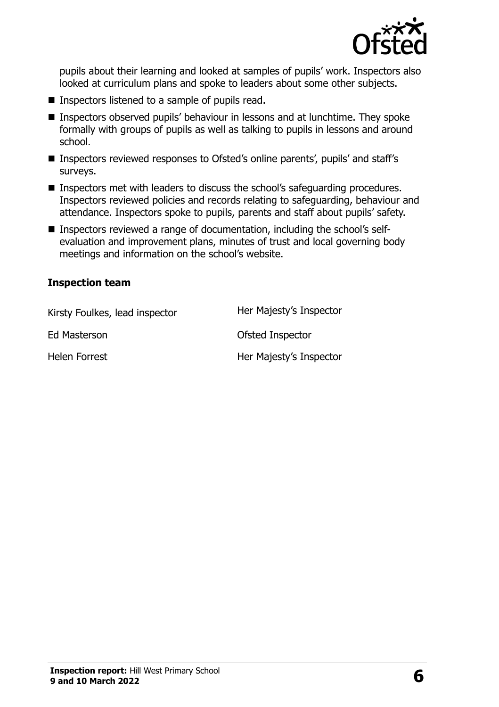

pupils about their learning and looked at samples of pupils' work. Inspectors also looked at curriculum plans and spoke to leaders about some other subjects.

- $\blacksquare$  Inspectors listened to a sample of pupils read.
- **Inspectors observed pupils' behaviour in lessons and at lunchtime. They spoke** formally with groups of pupils as well as talking to pupils in lessons and around school.
- Inspectors reviewed responses to Ofsted's online parents', pupils' and staff's surveys.
- Inspectors met with leaders to discuss the school's safeguarding procedures. Inspectors reviewed policies and records relating to safeguarding, behaviour and attendance. Inspectors spoke to pupils, parents and staff about pupils' safety.
- Inspectors reviewed a range of documentation, including the school's selfevaluation and improvement plans, minutes of trust and local governing body meetings and information on the school's website.

#### **Inspection team**

| Kirsty Foulkes, lead inspector | Her Majesty's Inspector |
|--------------------------------|-------------------------|
| Ed Masterson                   | Ofsted Inspector        |
| Helen Forrest                  | Her Majesty's Inspector |